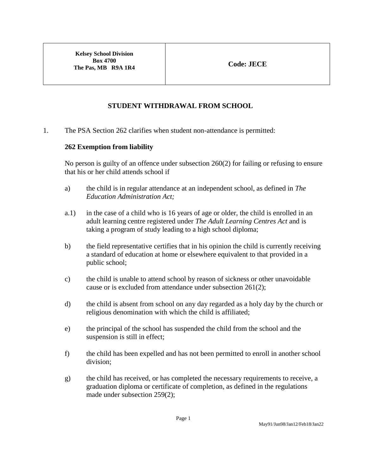**Kelsey School Division Box 4700 The Pas, MB R9A 1R4 Code: JECE** 

## **STUDENT WITHDRAWAL FROM SCHOOL**

1. The PSA Section 262 clarifies when student non-attendance is permitted:

## **262 Exemption from liability**

No person is guilty of an offence under subsection 260(2) for failing or refusing to ensure that his or her child attends school if

- a) the child is in regular attendance at an independent school, as defined in *The Education Administration Act;*
- a.1) in the case of a child who is 16 years of age or older, the child is enrolled in an adult learning centre registered under *The Adult Learning Centres Act* and is taking a program of study leading to a high school diploma;
- b) the field representative certifies that in his opinion the child is currently receiving a standard of education at home or elsewhere equivalent to that provided in a public school;
- c) the child is unable to attend school by reason of sickness or other unavoidable cause or is excluded from attendance under subsection 261(2);
- d) the child is absent from school on any day regarded as a holy day by the church or religious denomination with which the child is affiliated;
- e) the principal of the school has suspended the child from the school and the suspension is still in effect;
- f) the child has been expelled and has not been permitted to enroll in another school division;
- g) the child has received, or has completed the necessary requirements to receive, a graduation diploma or certificate of completion, as defined in the regulations made under subsection 259(2);